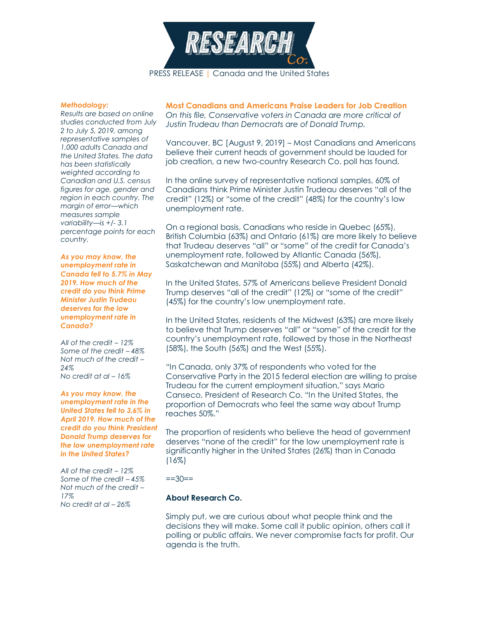

## *Methodology:*

*Results are based on online studies conducted from July 2 to July 5, 2019, among representative samples of 1,000 adults Canada and the United States. The data has been statistically weighted according to Canadian and U.S. census figures for age, gender and region in each country. The margin of error—which measures sample variability—is +/- 3.1 percentage points for each country.*

*As you may know, the unemployment rate in Canada fell to 5.7% in May 2019. How much of the credit do you think Prime Minister Justin Trudeau deserves for the low unemployment rate in Canada?*

*All of the credit – 12% Some of the credit – 48% Not much of the credit – 24% No credit at al – 16%*

*As you may know, the unemployment rate in the United States fell to 3.6% in April 2019. How much of the credit do you think President Donald Trump deserves for the low unemployment rate in the United States?*

*All of the credit – 12% Some of the credit – 45% Not much of the credit – 17% No credit at al – 26%*

**Most Canadians and Americans Praise Leaders for Job Creation** *On this file, Conservative voters in Canada are more critical of Justin Trudeau than Democrats are of Donald Trump.*

Vancouver, BC [August 9, 2019] – Most Canadians and Americans believe their current heads of government should be lauded for job creation, a new two-country Research Co. poll has found.

In the online survey of representative national samples, 60% of Canadians think Prime Minister Justin Trudeau deserves "all of the credit" (12%) or "some of the credit" (48%) for the country's low unemployment rate.

On a regional basis, Canadians who reside in Quebec (65%), British Columbia (63%) and Ontario (61%) are more likely to believe that Trudeau deserves "all" or "some" of the credit for Canada's unemployment rate, followed by Atlantic Canada (56%), Saskatchewan and Manitoba (55%) and Alberta (42%).

In the United States, 57% of Americans believe President Donald Trump deserves "all of the credit" (12%) or "some of the credit" (45%) for the country's low unemployment rate.

In the United States, residents of the Midwest (63%) are more likely to believe that Trump deserves "all" or "some" of the credit for the country's unemployment rate, followed by those in the Northeast (58%), the South (56%) and the West (55%).

"In Canada, only 37% of respondents who voted for the Conservative Party in the 2015 federal election are willing to praise Trudeau for the current employment situation," says Mario Canseco, President of Research Co. "In the United States, the proportion of Democrats who feel the same way about Trump reaches 50%."

The proportion of residents who believe the head of government deserves "none of the credit" for the low unemployment rate is significantly higher in the United States (26%) than in Canada  $(16\%)$ 

 $==30==$ 

## **About Research Co.**

Simply put, we are curious about what people think and the decisions they will make. Some call it public opinion, others call it polling or public affairs. We never compromise facts for profit. Our agenda is the truth.